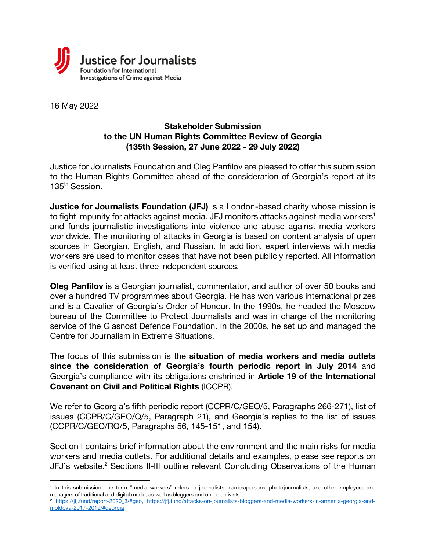

16 May 2022

 $\overline{a}$ 

# **Stakeholder Submission to the UN Human Rights Committee Review of Georgia (135th Session, 27 June 2022 - 29 July 2022)**

Justice for Journalists Foundation and Oleg Panfilov are pleased to offer this submission to the Human Rights Committee ahead of the consideration of Georgia's report at its 135<sup>th</sup> Session.

**Justice for Journalists Foundation (JFJ)** is a London-based charity whose mission is to fight impunity for attacks against media. JFJ monitors attacks against media workers<sup>1</sup> and funds journalistic investigations into violence and abuse against media workers worldwide. The monitoring of attacks in Georgia is based on content analysis of open sources in Georgian, English, and Russian. In addition, expert interviews with media workers are used to monitor cases that have not been publicly reported. All information is verified using at least three independent sources.

**Oleg Panfilov** is a Georgian journalist, commentator, and author of over 50 books and over a hundred TV programmes about Georgia. He has won various international prizes and is a Cavalier of Georgia's Order of Honour. In the 1990s, he headed the Moscow bureau of the Committee to Protect Journalists and was in charge of the monitoring service of the Glasnost Defence Foundation. In the 2000s, he set up and managed the Centre for Journalism in Extreme Situations.

The focus of this submission is the **situation of media workers and media outlets since the consideration of Georgia's fourth periodic report in July 2014** and Georgia's compliance with its obligations enshrined in **Article 19 of the International Covenant on Civil and Political Rights** (ICCPR).

We refer to Georgia's fifth periodic report (CCPR/C/GEO/5, Paragraphs 266-271), list of issues (CCPR/C/GEO/Q/5, Paragraph 21), and Georgia's replies to the list of issues (CCPR/C/GEO/RQ/5, Paragraphs 56, 145-151, and 154).

Section I contains brief information about the environment and the main risks for media workers and media outlets. For additional details and examples, please see reports on JFJ's website.<sup>2</sup> Sections II-III outline relevant Concluding Observations of the Human

<sup>&</sup>lt;sup>1</sup> In this submission, the term "media workers" refers to journalists, camerapersons, photojournalists, and other employees and managers of traditional and digital media, as well as bloggers and online activists.

<sup>2</sup> https://jfj.fund/report-2020\_3/#geo, https://jfj.fund/attacks-on-journalists-bloggers-and-media-workers-in-armenia-georgia-andmoldova-2017-2019/#georgia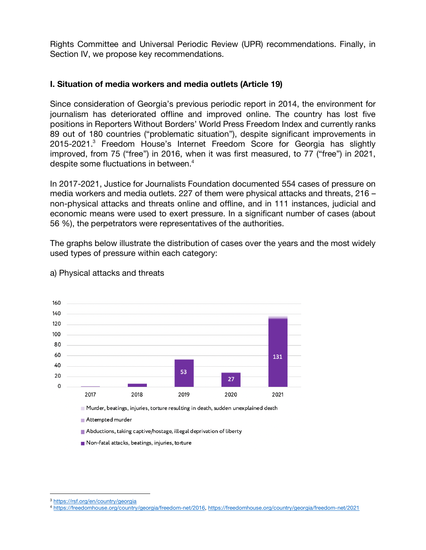Rights Committee and Universal Periodic Review (UPR) recommendations. Finally, in Section IV, we propose key recommendations.

#### **I. Situation of media workers and media outlets (Article 19)**

Since consideration of Georgia's previous periodic report in 2014, the environment for journalism has deteriorated offline and improved online. The country has lost five positions in Reporters Without Borders' World Press Freedom Index and currently ranks 89 out of 180 countries ("problematic situation"), despite significant improvements in 2015-2021.<sup>3</sup> Freedom House's Internet Freedom Score for Georgia has slightly improved, from 75 ("free") in 2016, when it was first measured, to 77 ("free") in 2021, despite some fluctuations in between. 4

In 2017-2021, Justice for Journalists Foundation documented 554 cases of pressure on media workers and media outlets. 227 of them were physical attacks and threats, 216 – non-physical attacks and threats online and offline, and in 111 instances, judicial and economic means were used to exert pressure. In a significant number of cases (about 56 %), the perpetrators were representatives of the authorities.

The graphs below illustrate the distribution of cases over the years and the most widely used types of pressure within each category:



a) Physical attacks and threats

 $\overline{a}$ 

<sup>3</sup> https://rsf.org/en/country/georgia

<sup>4</sup> https://freedomhouse.org/country/georgia/freedom-net/2016, https://freedomhouse.org/country/georgia/freedom-net/2021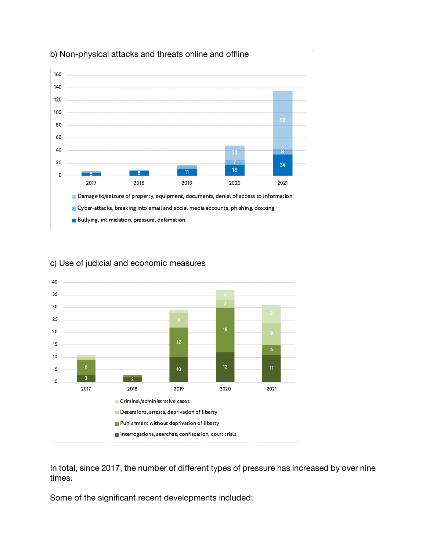

### b) Non-physical attacks and threats online and offline



# c) Use of judicial and economic measures

In total, since 2017, the number of different types of pressure has increased by over nine times.

Some of the significant recent developments included: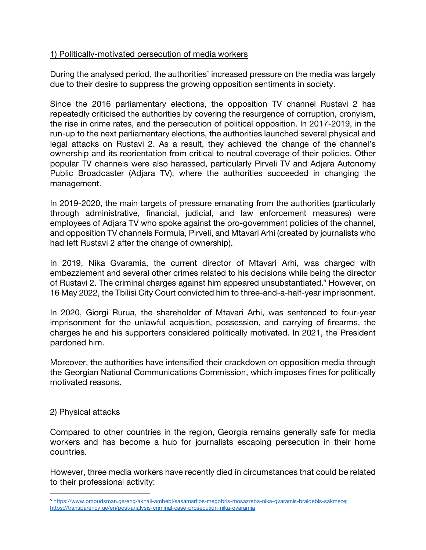### 1) Politically-motivated persecution of media workers

During the analysed period, the authorities' increased pressure on the media was largely due to their desire to suppress the growing opposition sentiments in society.

Since the 2016 parliamentary elections, the opposition TV channel Rustavi 2 has repeatedly criticised the authorities by covering the resurgence of corruption, cronyism, the rise in crime rates, and the persecution of political opposition. In 2017-2019, in the run-up to the next parliamentary elections, the authorities launched several physical and legal attacks on Rustavi 2. As a result, they achieved the change of the channel's ownership and its reorientation from critical to neutral coverage of their policies. Other popular TV channels were also harassed, particularly Pirveli TV and Adjara Autonomy Public Broadcaster (Adjara TV), where the authorities succeeded in changing the management.

In 2019-2020, the main targets of pressure emanating from the authorities (particularly through administrative, financial, judicial, and law enforcement measures) were employees of Adjara TV who spoke against the pro-government policies of the channel, and opposition TV channels Formula, Pirveli, and Mtavari Arhi (created by journalists who had left Rustavi 2 after the change of ownership).

In 2019, Nika Gvaramia, the current director of Mtavari Arhi, was charged with embezzlement and several other crimes related to his decisions while being the director of Rustavi 2. The criminal charges against him appeared unsubstantiated.<sup>5</sup> However, on 16 May 2022, the Tbilisi City Court convicted him to three-and-a-half-year imprisonment.

In 2020, Giorgi Rurua, the shareholder of Mtavari Arhi, was sentenced to four-year imprisonment for the unlawful acquisition, possession, and carrying of firearms, the charges he and his supporters considered politically motivated. In 2021, the President pardoned him.

Moreover, the authorities have intensified their crackdown on opposition media through the Georgian National Communications Commission, which imposes fines for politically motivated reasons.

#### 2) Physical attacks

 $\overline{a}$ 

Compared to other countries in the region, Georgia remains generally safe for media workers and has become a hub for journalists escaping persecution in their home countries.

However, three media workers have recently died in circumstances that could be related to their professional activity:

<sup>5</sup> https://www.ombudsman.ge/eng/akhali-ambebi/sasamartlos-megobris-mosazreba-nika-gvaramis-braldebis-sakmeze; https://transparency.ge/en/post/analysis-criminal-case-prosecution-nika-gvaramia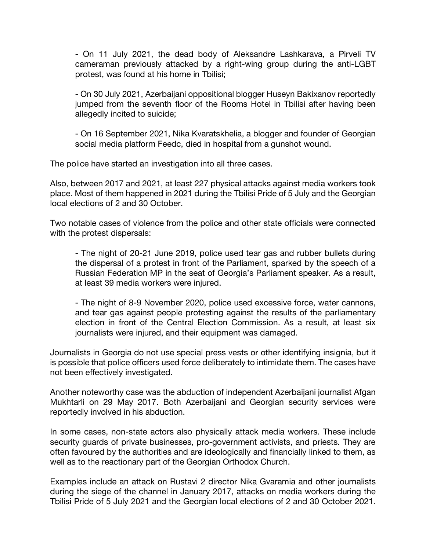- On 11 July 2021, the dead body of Aleksandre Lashkarava, a Pirveli TV cameraman previously attacked by a right-wing group during the anti-LGBT protest, was found at his home in Tbilisi;

- On 30 July 2021, Azerbaijani oppositional blogger Huseyn Bakixanov reportedly jumped from the seventh floor of the Rooms Hotel in Tbilisi after having been allegedly incited to suicide;

- On 16 September 2021, Nika Kvaratskhelia, a blogger and founder of Georgian social media platform Feedc, died in hospital from a gunshot wound.

The police have started an investigation into all three cases.

Also, between 2017 and 2021, at least 227 physical attacks against media workers took place. Most of them happened in 2021 during the Tbilisi Pride of 5 July and the Georgian local elections of 2 and 30 October.

Two notable cases of violence from the police and other state officials were connected with the protest dispersals:

- The night of 20-21 June 2019, police used tear gas and rubber bullets during the dispersal of a protest in front of the Parliament, sparked by the speech of a Russian Federation MP in the seat of Georgia's Parliament speaker. As a result, at least 39 media workers were injured.

- The night of 8-9 November 2020, police used excessive force, water cannons, and tear gas against people protesting against the results of the parliamentary election in front of the Central Election Commission. As a result, at least six journalists were injured, and their equipment was damaged.

Journalists in Georgia do not use special press vests or other identifying insignia, but it is possible that police officers used force deliberately to intimidate them. The cases have not been effectively investigated.

Another noteworthy case was the abduction of independent Azerbaijani journalist Afgan Mukhtarli on 29 May 2017. Both Azerbaijani and Georgian security services were reportedly involved in his abduction.

In some cases, non-state actors also physically attack media workers. These include security guards of private businesses, pro-government activists, and priests. They are often favoured by the authorities and are ideologically and financially linked to them, as well as to the reactionary part of the Georgian Orthodox Church.

Examples include an attack on Rustavi 2 director Nika Gvaramia and other journalists during the siege of the channel in January 2017, attacks on media workers during the Tbilisi Pride of 5 July 2021 and the Georgian local elections of 2 and 30 October 2021.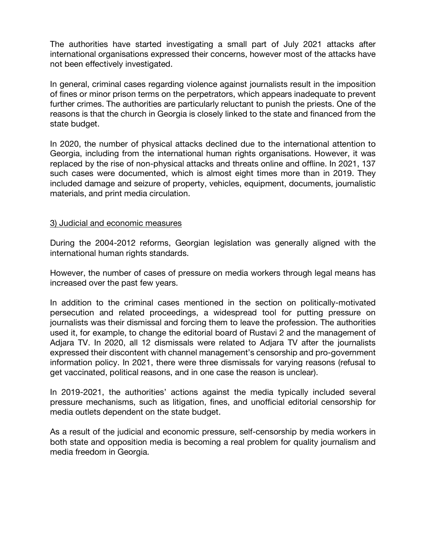The authorities have started investigating a small part of July 2021 attacks after international organisations expressed their concerns, however most of the attacks have not been effectively investigated.

In general, criminal cases regarding violence against journalists result in the imposition of fines or minor prison terms on the perpetrators, which appears inadequate to prevent further crimes. The authorities are particularly reluctant to punish the priests. One of the reasons is that the church in Georgia is closely linked to the state and financed from the state budget.

In 2020, the number of physical attacks declined due to the international attention to Georgia, including from the international human rights organisations. However, it was replaced by the rise of non-physical attacks and threats online and offline. In 2021, 137 such cases were documented, which is almost eight times more than in 2019. They included damage and seizure of property, vehicles, equipment, documents, journalistic materials, and print media circulation.

#### 3) Judicial and economic measures

During the 2004-2012 reforms, Georgian legislation was generally aligned with the international human rights standards.

However, the number of cases of pressure on media workers through legal means has increased over the past few years.

In addition to the criminal cases mentioned in the section on politically-motivated persecution and related proceedings, a widespread tool for putting pressure on journalists was their dismissal and forcing them to leave the profession. The authorities used it, for example, to change the editorial board of Rustavi 2 and the management of Adjara TV. In 2020, all 12 dismissals were related to Adjara TV after the journalists expressed their discontent with channel management's censorship and pro-government information policy. In 2021, there were three dismissals for varying reasons (refusal to get vaccinated, political reasons, and in one case the reason is unclear).

In 2019-2021, the authorities' actions against the media typically included several pressure mechanisms, such as litigation, fines, and unofficial editorial censorship for media outlets dependent on the state budget.

As a result of the judicial and economic pressure, self-censorship by media workers in both state and opposition media is becoming a real problem for quality journalism and media freedom in Georgia.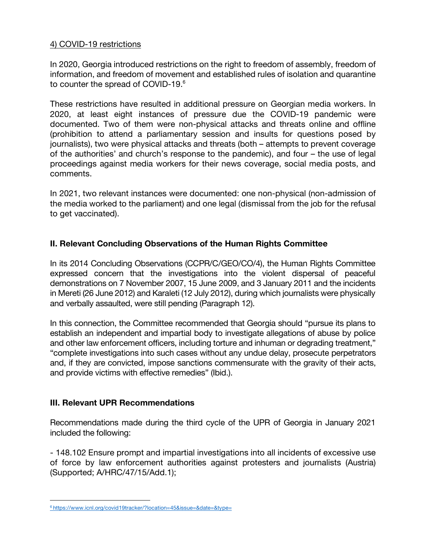### 4) COVID-19 restrictions

In 2020, Georgia introduced restrictions on the right to freedom of assembly, freedom of information, and freedom of movement and established rules of isolation and quarantine to counter the spread of COVID-19.<sup>6</sup>

These restrictions have resulted in additional pressure on Georgian media workers. In 2020, at least eight instances of pressure due the COVID-19 pandemic were documented. Two of them were non-physical attacks and threats online and offline (prohibition to attend a parliamentary session and insults for questions posed by journalists), two were physical attacks and threats (both – attempts to prevent coverage of the authorities' and church's response to the pandemic), and four – the use of legal proceedings against media workers for their news coverage, social media posts, and comments.

In 2021, two relevant instances were documented: one non-physical (non-admission of the media worked to the parliament) and one legal (dismissal from the job for the refusal to get vaccinated).

# **II. Relevant Concluding Observations of the Human Rights Committee**

In its 2014 Concluding Observations (CCPR/C/GEO/CO/4), the Human Rights Committee expressed concern that the investigations into the violent dispersal of peaceful demonstrations on 7 November 2007, 15 June 2009, and 3 January 2011 and the incidents in Mereti (26 June 2012) and Karaleti (12 July 2012), during which journalists were physically and verbally assaulted, were still pending (Paragraph 12).

In this connection, the Committee recommended that Georgia should "pursue its plans to establish an independent and impartial body to investigate allegations of abuse by police and other law enforcement officers, including torture and inhuman or degrading treatment," "complete investigations into such cases without any undue delay, prosecute perpetrators and, if they are convicted, impose sanctions commensurate with the gravity of their acts, and provide victims with effective remedies" (Ibid.).

# **III. Relevant UPR Recommendations**

 $\overline{a}$ 

Recommendations made during the third cycle of the UPR of Georgia in January 2021 included the following:

- 148.102 Ensure prompt and impartial investigations into all incidents of excessive use of force by law enforcement authorities against protesters and journalists (Austria) (Supported; A/HRC/47/15/Add.1);

<sup>6</sup> https://www.icnl.org/covid19tracker/?location=45&issue=&date=&type=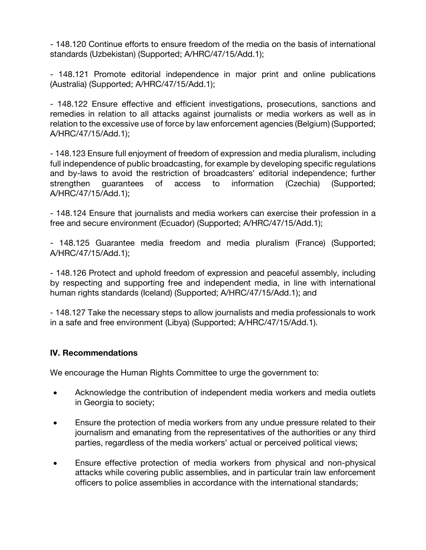- 148.120 Continue efforts to ensure freedom of the media on the basis of international standards (Uzbekistan) (Supported; A/HRC/47/15/Add.1);

- 148.121 Promote editorial independence in major print and online publications (Australia) (Supported; A/HRC/47/15/Add.1);

- 148.122 Ensure effective and efficient investigations, prosecutions, sanctions and remedies in relation to all attacks against journalists or media workers as well as in relation to the excessive use of force by law enforcement agencies (Belgium) (Supported; A/HRC/47/15/Add.1);

- 148.123 Ensure full enjoyment of freedom of expression and media pluralism, including full independence of public broadcasting, for example by developing specific regulations and by-laws to avoid the restriction of broadcasters' editorial independence; further strengthen guarantees of access to information (Czechia) (Supported; A/HRC/47/15/Add.1);

- 148.124 Ensure that journalists and media workers can exercise their profession in a free and secure environment (Ecuador) (Supported; A/HRC/47/15/Add.1);

- 148.125 Guarantee media freedom and media pluralism (France) (Supported; A/HRC/47/15/Add.1);

- 148.126 Protect and uphold freedom of expression and peaceful assembly, including by respecting and supporting free and independent media, in line with international human rights standards (Iceland) (Supported; A/HRC/47/15/Add.1); and

- 148.127 Take the necessary steps to allow journalists and media professionals to work in a safe and free environment (Libya) (Supported; A/HRC/47/15/Add.1).

# **IV. Recommendations**

We encourage the Human Rights Committee to urge the government to:

- Acknowledge the contribution of independent media workers and media outlets in Georgia to society;
- Ensure the protection of media workers from any undue pressure related to their journalism and emanating from the representatives of the authorities or any third parties, regardless of the media workers' actual or perceived political views;
- Ensure effective protection of media workers from physical and non-physical attacks while covering public assemblies, and in particular train law enforcement officers to police assemblies in accordance with the international standards;